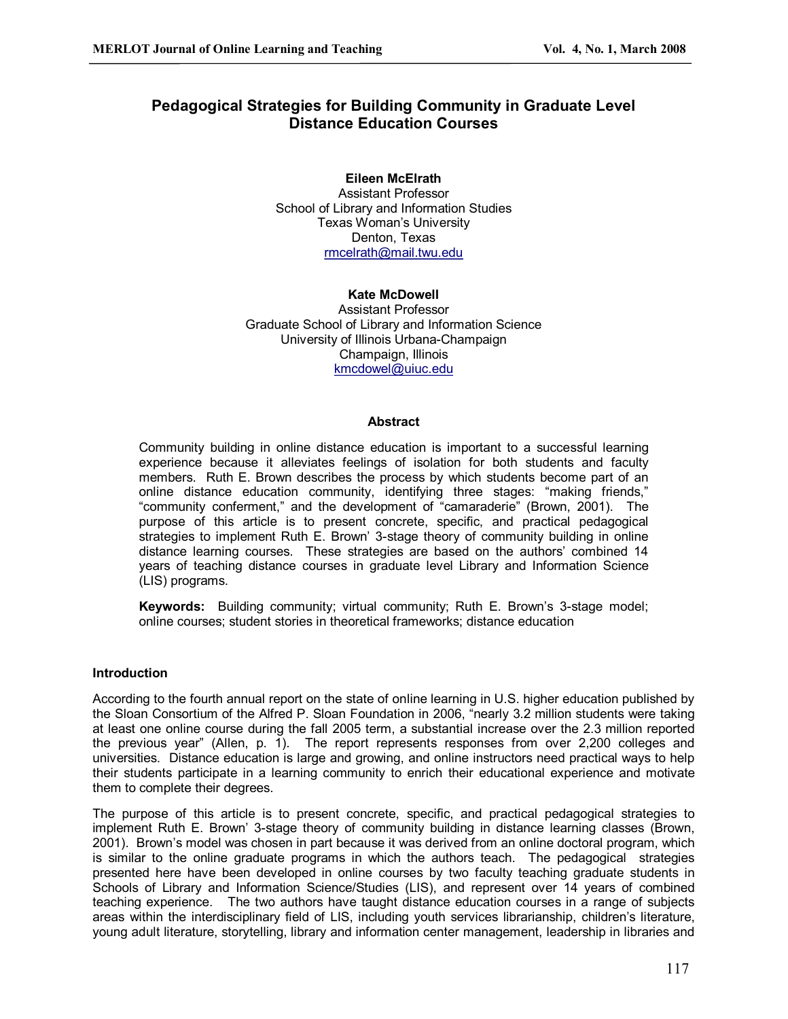# **Pedagogical Strategies for Building Community in Graduate Level Distance Education Courses**

# **Eileen McElrath**

Assistant Professor School of Library and Information Studies Texas Woman's University Denton, Texas [rmcelrath@mail.twu.edu](mailto:rmcelrath@mail.twu.edu)

#### **Kate McDowell**

Assistant Professor Graduate School of Library and Information Science University of Illinois Urbana-Champaign Champaign, Illinois [kmcdowel@uiuc.edu](mailto:kmcdowel@uiuc.edu)

#### **Abstract**

Community building in online distance education is important to a successful learning experience because it alleviates feelings of isolation for both students and faculty members. Ruth E. Brown describes the process by which students become part of an online distance education community, identifying three stages: "making friends," "community conferment," and the development of "camaraderie" (Brown, 2001). The purpose of this article is to present concrete, specific, and practical pedagogical strategies to implement Ruth E. Brown' 3-stage theory of community building in online distance learning courses. These strategies are based on the authors' combined 14 years of teaching distance courses in graduate level Library and Information Science (LIS) programs.

**Keywords:** Building community; virtual community; Ruth E. Brown's 3-stage model; online courses; student stories in theoretical frameworks; distance education

#### **Introduction**

According to the fourth annual report on the state of online learning in U.S. higher education published by the Sloan Consortium of the Alfred P. Sloan Foundation in 2006, "nearly 3.2 million students were taking at least one online course during the fall 2005 term, a substantial increase over the 2.3 million reported the previous year" (Allen, p. 1). The report represents responses from over 2,200 colleges and universities. Distance education is large and growing, and online instructors need practical ways to help their students participate in a learning community to enrich their educational experience and motivate them to complete their degrees.

The purpose of this article is to present concrete, specific, and practical pedagogical strategies to implement Ruth E. Brown' 3-stage theory of community building in distance learning classes (Brown, 2001). Brown's model was chosen in part because it was derived from an online doctoral program, which is similar to the online graduate programs in which the authors teach. The pedagogical strategies presented here have been developed in online courses by two faculty teaching graduate students in Schools of Library and Information Science/Studies (LIS), and represent over 14 years of combined teaching experience. The two authors have taught distance education courses in a range of subjects areas within the interdisciplinary field of LIS, including youth services librarianship, children's literature, young adult literature, storytelling, library and information center management, leadership in libraries and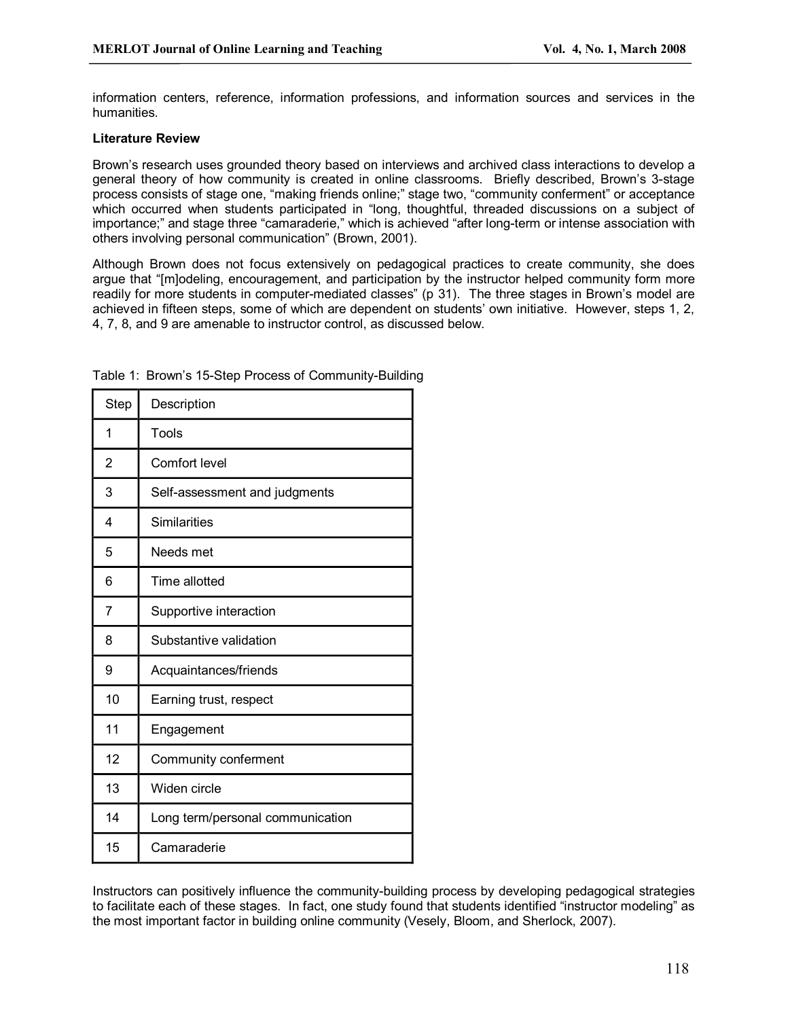information centers, reference, information professions, and information sources and services in the humanities.

## **Literature Review**

Brown's research uses grounded theory based on interviews and archived class interactions to develop a general theory of how community is created in online classrooms. Briefly described, Brown's 3-stage process consists of stage one, "making friends online;" stage two, "community conferment" or acceptance which occurred when students participated in "long, thoughtful, threaded discussions on a subject of importance;" and stage three "camaraderie," which is achieved "after long-term or intense association with others involving personal communication" (Brown, 2001).

Although Brown does not focus extensively on pedagogical practices to create community, she does argue that "[m]odeling, encouragement, and participation by the instructor helped community form more readily for more students in computer-mediated classes" (p 31). The three stages in Brown's model are achieved in fifteen steps, some of which are dependent on students' own initiative. However, steps 1, 2, 4, 7, 8, and 9 are amenable to instructor control, as discussed below.

| Step | Description                      |
|------|----------------------------------|
| 1    | Tools                            |
| 2    | Comfort level                    |
| 3    | Self-assessment and judgments    |
| 4    | <b>Similarities</b>              |
| 5    | Needs met                        |
| 6    | Time allotted                    |
| 7    | Supportive interaction           |
| 8    | Substantive validation           |
| 9    | Acquaintances/friends            |
| 10   | Earning trust, respect           |
| 11   | Engagement                       |
| 12   | Community conferment             |
| 13   | Widen circle                     |
| 14   | Long term/personal communication |
| 15   | Camaraderie                      |

Table 1: Brown's 15-Step Process of Community-Building

Instructors can positively influence the community-building process by developing pedagogical strategies to facilitate each of these stages. In fact, one study found that students identified "instructor modeling" as the most important factor in building online community (Vesely, Bloom, and Sherlock, 2007).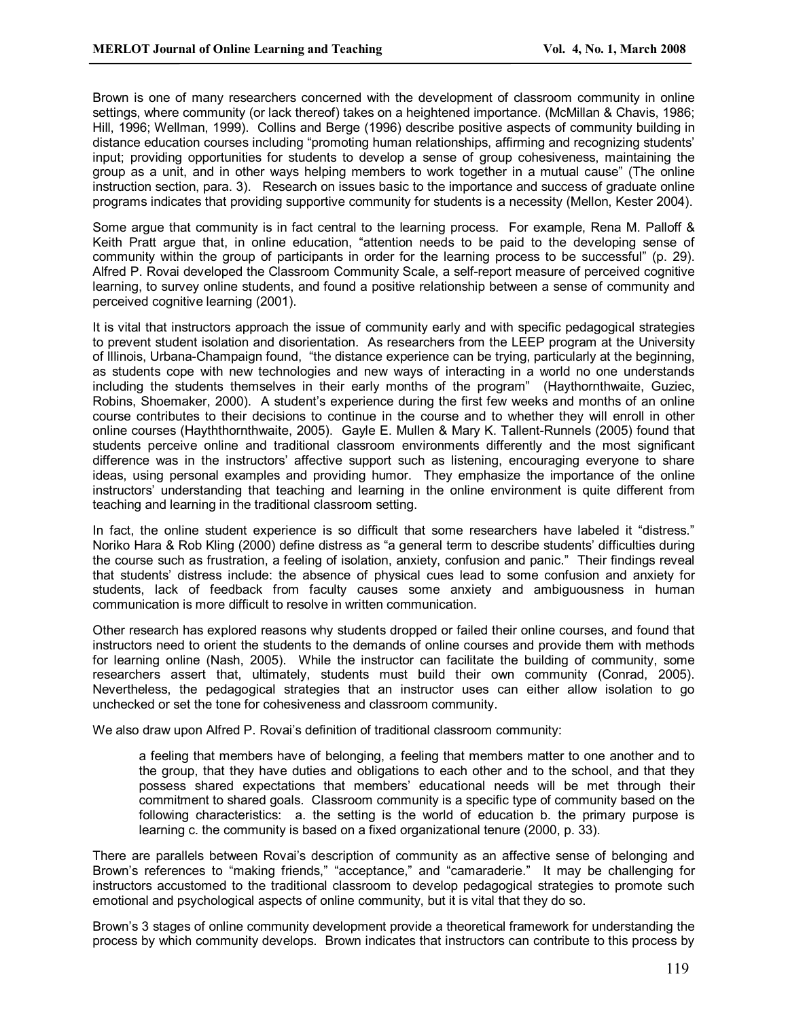Brown is one of many researchers concerned with the development of classroom community in online settings, where community (or lack thereof) takes on a heightened importance. (McMillan & Chavis, 1986; Hill, 1996; Wellman, 1999). Collins and Berge (1996) describe positive aspects of community building in distance education courses including "promoting human relationships, affirming and recognizing students' input; providing opportunities for students to develop a sense of group cohesiveness, maintaining the group as a unit, and in other ways helping members to work together in a mutual cause" (The online instruction section, para. 3). Research on issues basic to the importance and success of graduate online programs indicates that providing supportive community for students is a necessity (Mellon, Kester 2004).

Some argue that community is in fact central to the learning process. For example, Rena M. Palloff & Keith Pratt argue that, in online education, "attention needs to be paid to the developing sense of community within the group of participants in order for the learning process to be successful" (p. 29). Alfred P. Rovai developed the Classroom Community Scale, a self-report measure of perceived cognitive learning, to survey online students, and found a positive relationship between a sense of community and perceived cognitive learning (2001).

It is vital that instructors approach the issue of community early and with specific pedagogical strategies to prevent student isolation and disorientation. As researchers from the LEEP program at the University of Illinois, UrbanaChampaign found, "the distance experience can be trying, particularly at the beginning, as students cope with new technologies and new ways of interacting in a world no one understands including the students themselves in their early months of the program" (Haythornthwaite, Guziec, Robins, Shoemaker, 2000). A student's experience during the first few weeks and months of an online course contributes to their decisions to continue in the course and to whether they will enroll in other online courses (Hayththornthwaite, 2005). Gayle E. Mullen & Mary K. Tallent-Runnels (2005) found that students perceive online and traditional classroom environments differently and the most significant difference was in the instructors' affective support such as listening, encouraging everyone to share ideas, using personal examples and providing humor. They emphasize the importance of the online instructors' understanding that teaching and learning in the online environment is quite different from teaching and learning in the traditional classroom setting.

In fact, the online student experience is so difficult that some researchers have labeled it "distress." Noriko Hara & Rob Kling (2000) define distress as "a general term to describe students' difficulties during the course such as frustration, a feeling of isolation, anxiety, confusion and panic." Their findings reveal that students' distress include: the absence of physical cues lead to some confusion and anxiety for students, lack of feedback from faculty causes some anxiety and ambiguousness in human communication is more difficult to resolve in written communication.

Other research has explored reasons why students dropped or failed their online courses, and found that instructors need to orient the students to the demands of online courses and provide them with methods for learning online (Nash, 2005). While the instructor can facilitate the building of community, some researchers assert that, ultimately, students must build their own community (Conrad, 2005). Nevertheless, the pedagogical strategies that an instructor uses can either allow isolation to go unchecked or set the tone for cohesiveness and classroom community.

We also draw upon Alfred P. Rovai's definition of traditional classroom community:

a feeling that members have of belonging, a feeling that members matter to one another and to the group, that they have duties and obligations to each other and to the school, and that they possess shared expectations that members' educational needs will be met through their commitment to shared goals. Classroom community is a specific type of community based on the following characteristics: a. the setting is the world of education b. the primary purpose is learning c. the community is based on a fixed organizational tenure (2000, p. 33).

There are parallels between Rovai's description of community as an affective sense of belonging and Brown's references to "making friends," "acceptance," and "camaraderie." It may be challenging for instructors accustomed to the traditional classroom to develop pedagogical strategies to promote such emotional and psychological aspects of online community, but it is vital that they do so.

Brown's 3 stages of online community development provide a theoretical framework for understanding the process by which community develops. Brown indicates that instructors can contribute to this process by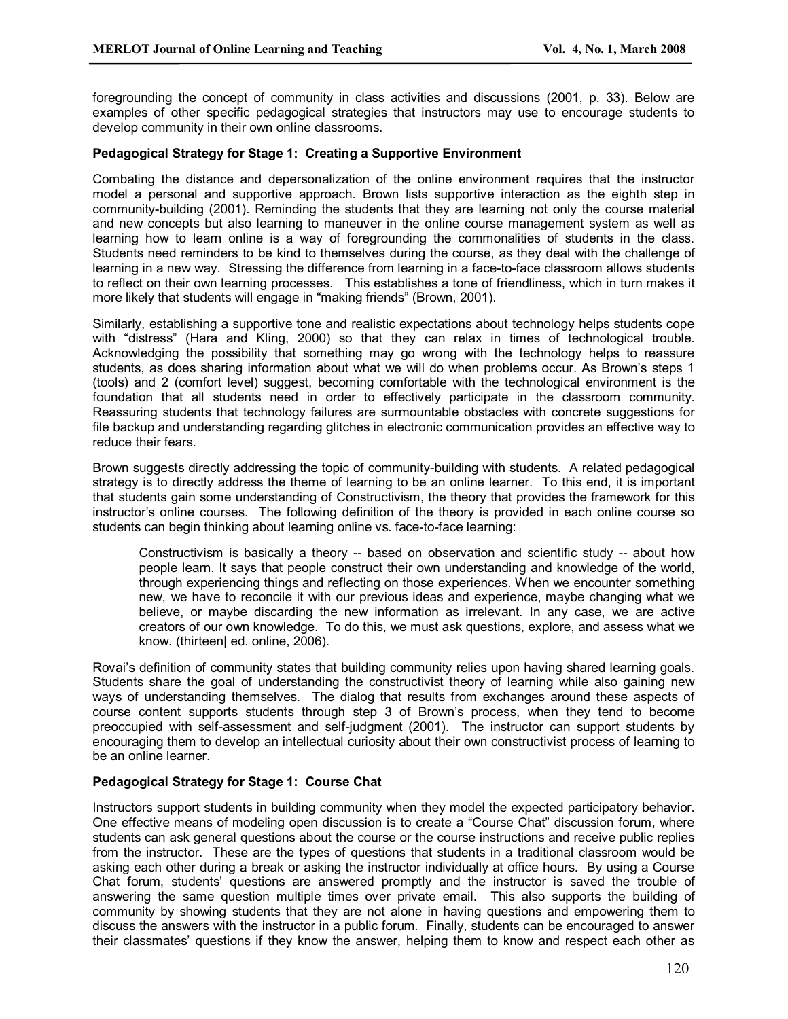foregrounding the concept of community in class activities and discussions (2001, p. 33). Below are examples of other specific pedagogical strategies that instructors may use to encourage students to develop community in their own online classrooms.

## **Pedagogical Strategy for Stage 1: Creating a Supportive Environment**

Combating the distance and depersonalization of the online environment requires that the instructor model a personal and supportive approach. Brown lists supportive interaction as the eighth step in community-building (2001). Reminding the students that they are learning not only the course material and new concepts but also learning to maneuver in the online course management system as well as learning how to learn online is a way of foregrounding the commonalities of students in the class. Students need reminders to be kind to themselves during the course, as they deal with the challenge of learning in a new way. Stressing the difference from learning in a face-to-face classroom allows students to reflect on their own learning processes. This establishes a tone of friendliness, which in turn makes it more likely that students will engage in "making friends" (Brown, 2001).

Similarly, establishing a supportive tone and realistic expectations about technology helps students cope with "distress" (Hara and Kling, 2000) so that they can relax in times of technological trouble. Acknowledging the possibility that something may go wrong with the technology helps to reassure students, as does sharing information about what we will do when problems occur. As Brown's steps 1 (tools) and 2 (comfort level) suggest, becoming comfortable with the technological environment is the foundation that all students need in order to effectively participate in the classroom community. Reassuring students that technology failures are surmountable obstacles with concrete suggestions for file backup and understanding regarding glitches in electronic communication provides an effective way to reduce their fears.

Brown suggests directly addressing the topic of community-building with students. A related pedagogical strategy is to directly address the theme of learning to be an online learner. To this end, it is important that students gain some understanding of Constructivism, the theory that provides the framework for this instructor's online courses. The following definition of the theory is provided in each online course so students can begin thinking about learning online vs. face-to-face learning:

Constructivism is basically a theory -- based on observation and scientific study -- about how people learn. It says that people construct their own understanding and knowledge of the world, through experiencing things and reflecting on those experiences. When we encounter something new, we have to reconcile itwith our previous ideas and experience, maybe changing what we believe, or maybe discarding the new information as irrelevant. In any case, we are active creators of our own knowledge. To do this, we must ask questions, explore, and assess what we know. (thirteen| ed. online, 2006).

Rovai's definition of community states that building community relies upon having shared learning goals. Students share the goal of understanding the constructivist theory of learning while also gaining new ways of understanding themselves. The dialog that results from exchanges around these aspects of course content supports students through step 3 of Brown's process, when they tend to become preoccupied with self-assessment and self-judgment (2001). The instructor can support students by encouraging them to develop an intellectual curiosity about their own constructivist process of learning to be an online learner.

#### **Pedagogical Strategy for Stage 1: Course Chat**

Instructors support students in building community when they model the expected participatory behavior. One effective means of modeling open discussion is to create a "Course Chat" discussion forum, where students can ask general questions about the course or the course instructions and receive public replies from the instructor. These are the types of questions that students in a traditional classroom would be asking each other during a break or asking the instructor individually at office hours. By using a Course Chat forum, students' questions are answered promptly and the instructor is saved the trouble of answering the same question multiple times over private email. This also supports the building of community by showing students that they are not alone in having questions and empowering them to discuss the answers with the instructor in a public forum. Finally, students can be encouraged to answer their classmates' questions if they know the answer, helping them to know and respect each other as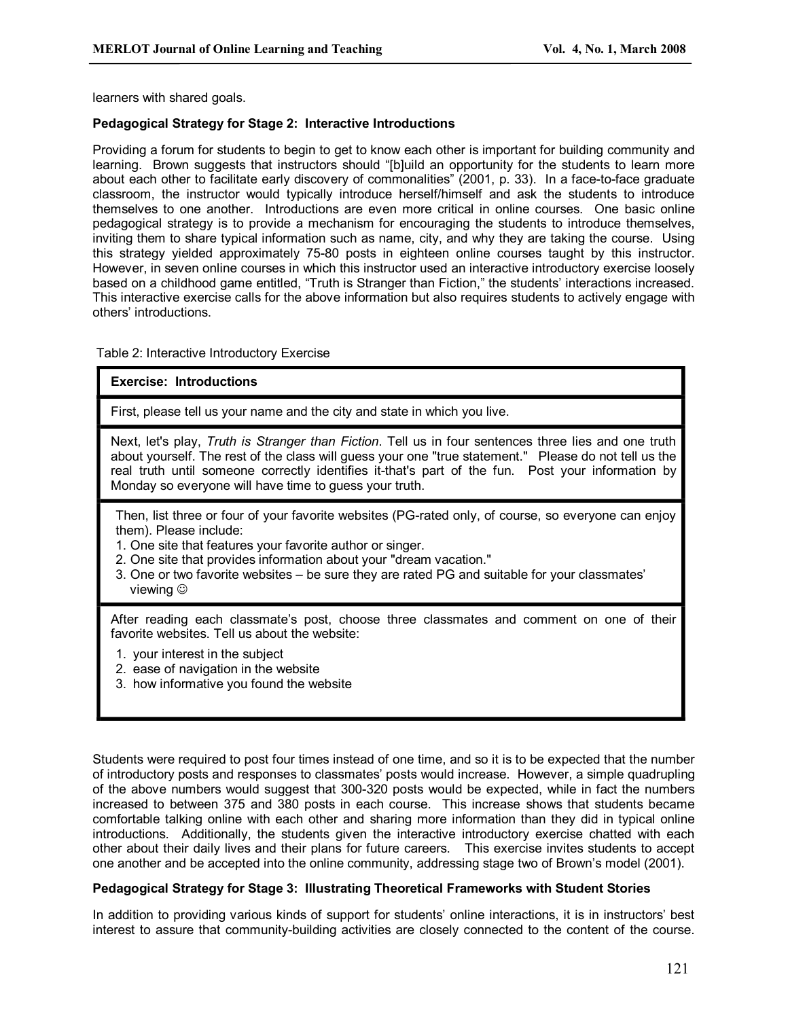learners with shared goals.

## **Pedagogical Strategy for Stage 2: Interactive Introductions**

Providing a forum for students to begin to get to know each other is important for building community and learning. Brown suggests that instructors should "[b]uild an opportunity for the students to learn more about each other to facilitate early discovery of commonalities" (2001, p. 33). In a face-to-face graduate classroom, the instructor would typically introduce herself/himself and ask the students to introduce themselves to one another. Introductions are even more critical in online courses. One basic online pedagogical strategy is to provide a mechanism for encouraging the students to introduce themselves, inviting them to share typical information such as name, city, and why they are taking the course. Using this strategy yielded approximately 75-80 posts in eighteen online courses taught by this instructor. However, in seven online courses in which this instructor used an interactive introductory exercise loosely based on a childhood game entitled, "Truth is Stranger than Fiction," the students' interactions increased. This interactive exercise calls for the above information but also requires students to actively engage with others' introductions.

#### Table 2: Interactive Introductory Exercise

#### **Exercise: Introductions**

First, please tell us your name and the city and state in which you live.

Next, let's play, *Truth is Stranger than Fiction*. Tell us in four sentences three lies and one truth about yourself. The rest of the class will guess your one "true statement." Please do not tell us the real truth until someone correctly identifies it-that's part of the fun. Post your information by Monday so everyone will have time to guess your truth.

Then, list three or four of your favorite websites (PG-rated only, of course, so everyone can enjoy them). Please include:

- 1. One site that features your favorite author or singer.
- 2. One site that provides information about your "dream vacation."
- 3. One or two favorite websites be sure they are rated PG and suitable for your classmates' viewing  $\circledcirc$

After reading each classmate's post, choose three classmates and comment on one of their favorite websites. Tell us about the website:

- 1. your interest in the subject
- 2. ease of navigation in the website
- 3. how informative you found the website

Students were required to post four times instead of one time, and so it is to be expected that the number of introductory posts and responses to classmates' posts would increase. However, a simple quadrupling of the above numbers would suggest that 300-320 posts would be expected, while in fact the numbers increased to between 375 and 380 posts in each course. This increase shows that students became comfortable talking online with each other and sharing more information than they did in typical online introductions. Additionally, the students given the interactive introductory exercise chatted with each other about their daily lives and their plans for future careers. This exercise invites students to accept one another and be accepted into the online community, addressing stage two of Brown's model (2001).

#### **Pedagogical Strategy for Stage 3: Illustrating Theoretical Frameworks with Student Stories**

In addition to providing various kinds of support for students' online interactions, it is in instructors' best interest to assure that community-building activities are closely connected to the content of the course.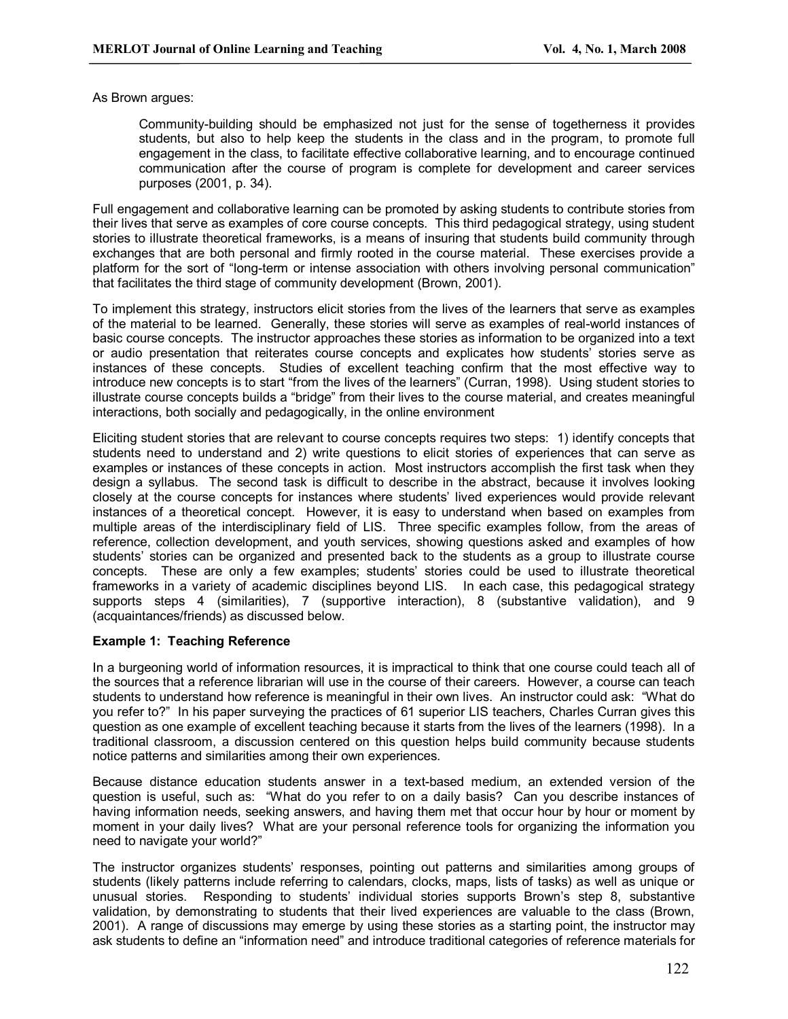As Brown argues:

Community-building should be emphasized not just for the sense of togetherness it provides students, but also to help keep the students in the class and in the program, to promote full engagement in the class, to facilitate effective collaborative learning, and to encourage continued communication after the course of program is complete for development and career services purposes (2001, p. 34).

Full engagement and collaborative learning can be promoted by asking students to contribute stories from their lives that serve as examples of core course concepts. This third pedagogical strategy, using student stories to illustrate theoretical frameworks, is a means of insuring that students build community through exchanges that are both personal and firmly rooted in the course material. These exercises provide a platform for the sort of "long-term or intense association with others involving personal communication" that facilitates the third stage of community development (Brown, 2001).

To implement this strategy, instructors elicit stories from the lives of the learners that serve as examples of the material to be learned. Generally, these stories will serve as examples of realworld instances of basic course concepts. The instructor approaches these stories as information to be organized into a text or audio presentation that reiterates course concepts and explicates how students' stories serve as instances of these concepts. Studies of excellent teaching confirm that the most effective way to introduce new concepts is to start "from the lives of the learners" (Curran, 1998). Using student stories to illustrate course concepts builds a "bridge" from their lives to the course material, and creates meaningful interactions, both socially and pedagogically, in the online environment

Eliciting student stories that are relevant to course concepts requires two steps: 1) identify concepts that students need to understand and 2) write questions to elicit stories of experiences that can serve as examples or instances of these concepts in action. Most instructors accomplish the first task when they design a syllabus. The second task is difficult to describe in the abstract, because it involves looking closely at the course concepts for instances where students' lived experiences would provide relevant instances of a theoretical concept. However, it is easy to understand when based on examples from multiple areas of the interdisciplinary field of LIS. Three specific examples follow, from the areas of reference, collection development, and youth services, showing questions asked and examples of how students' stories can be organized and presented back to the students as a group to illustrate course concepts. These are only a few examples; students' stories could be used to illustrate theoretical frameworks in a variety of academic disciplines beyond LIS. In each case, this pedagogical strategy supports steps 4 (similarities), 7 (supportive interaction), 8 (substantive validation), and 9 (acquaintances/friends) as discussed below.

#### **Example 1: Teaching Reference**

In a burgeoning world of information resources, it is impractical to think that one course could teach all of the sources that a reference librarian will use in the course of their careers. However, a course can teach students to understand how reference is meaningful in their own lives. An instructor could ask: "What do you refer to?" In his paper surveying the practices of 61 superior LIS teachers, Charles Curran gives this question as one example of excellent teaching because it starts from the lives of the learners (1998). In a traditional classroom, a discussion centered on this question helps build community because students notice patterns and similarities among their own experiences.

Because distance education students answer in a text-based medium, an extended version of the question is useful, such as: "What do you refer to on a daily basis? Can you describe instances of having information needs, seeking answers, and having them met that occur hour by hour or moment by moment in your daily lives? What are your personal reference tools for organizing the information you need to navigate your world?"

The instructor organizes students' responses, pointing out patterns and similarities among groups of students (likely patterns include referring to calendars, clocks, maps, lists of tasks) as well as unique or unusual stories. Responding to students' individual stories supports Brown's step 8, substantive validation, by demonstrating to students that their lived experiences are valuable to the class (Brown, 2001). A range of discussions may emerge by using these stories as a starting point, the instructor may ask students to define an "information need" and introduce traditional categories of reference materials for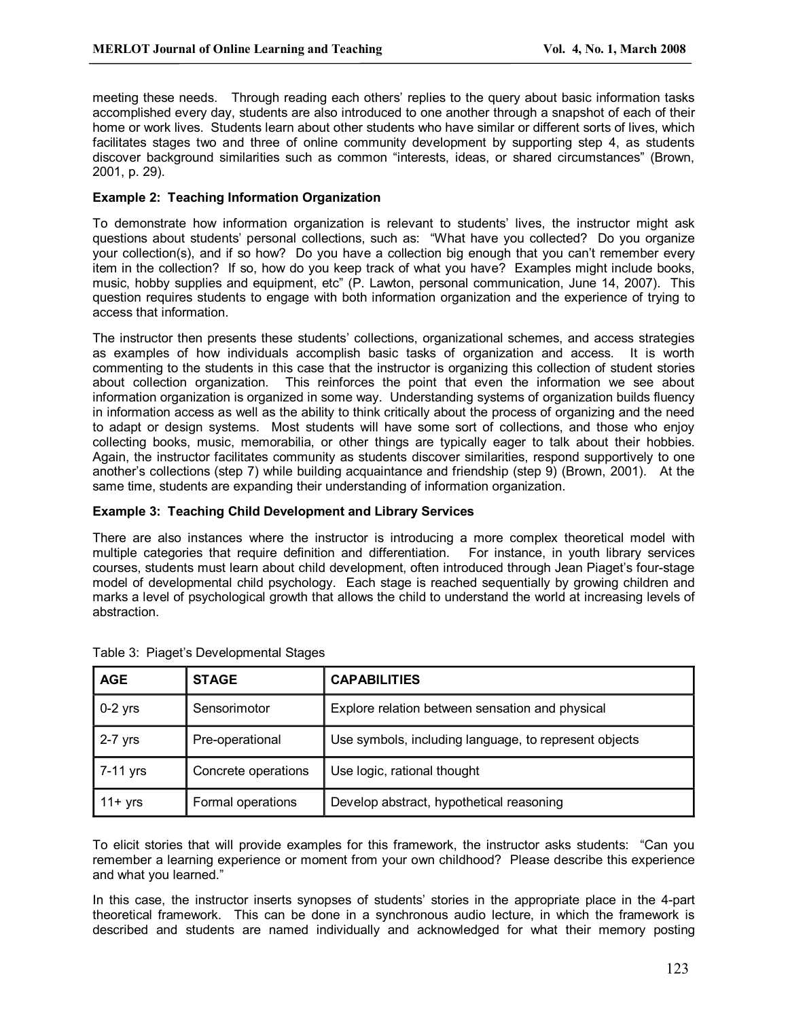meeting these needs. Through reading each others' replies to the query about basic information tasks accomplished every day, students are also introduced to one another through a snapshot of each of their home or work lives. Students learn about other students who have similar or different sorts of lives, which facilitates stages two and three of online community development by supporting step 4, as students discover background similarities such as common "interests, ideas, or shared circumstances" (Brown, 2001, p. 29).

## **Example 2: Teaching Information Organization**

To demonstrate how information organization is relevant to students' lives, the instructor might ask questions about students' personal collections, such as: "What have you collected? Do you organize your collection(s), and if so how? Do you have a collection big enough that you can't remember every item in the collection? If so, how do you keep track of what you have? Examples might include books, music, hobby supplies and equipment, etc" (P. Lawton, personal communication, June 14, 2007). This question requires students to engage with both information organization and the experience of trying to access that information.

The instructor then presents these students' collections, organizational schemes, and access strategies as examples of how individuals accomplish basic tasks of organization and access. It is worth commenting to the students in this case that the instructor is organizing this collection of student stories about collection organization. This reinforces the point that even the information we see about information organization is organized in some way. Understanding systems of organization builds fluency in information access as well as the ability to think critically about the process of organizing and the need to adapt or design systems. Most students will have some sort of collections, and those who enjoy collecting books, music, memorabilia, or other things are typically eager to talk about their hobbies. Again, the instructor facilitates community as students discover similarities, respond supportively to one another's collections (step 7) while building acquaintance and friendship (step 9) (Brown, 2001). At the same time, students are expanding their understanding of information organization.

#### **Example 3: Teaching Child Development and Library Services**

There are also instances where the instructor is introducing a more complex theoretical model with multiple categories that require definition and differentiation. For instance, in youth library services courses, students must learn about child development, often introduced through Jean Piaget's fourstage model of developmental child psychology. Each stage is reached sequentially by growing children and marks a level of psychological growth that allows the child to understand the world at increasing levels of abstraction.

| <b>AGE</b> | <b>STAGE</b>        | <b>CAPABILITIES</b>                                   |
|------------|---------------------|-------------------------------------------------------|
| $0-2$ yrs  | Sensorimotor        | Explore relation between sensation and physical       |
| $2-7$ yrs  | Pre-operational     | Use symbols, including language, to represent objects |
| 7-11 yrs   | Concrete operations | Use logic, rational thought                           |
| $11 + yrs$ | Formal operations   | Develop abstract, hypothetical reasoning              |

| Table 3: Piaget's Developmental Stages |  |
|----------------------------------------|--|
|                                        |  |

To elicit stories that will provide examples for this framework, the instructor asks students: "Can you remember a learning experience or moment from your own childhood? Please describe this experience and what you learned."

In this case, the instructor inserts synopses of students' stories in the appropriate place in the 4-part theoretical framework. This can be done in a synchronous audio lecture, in which the framework is described and students are named individually and acknowledged for what their memory posting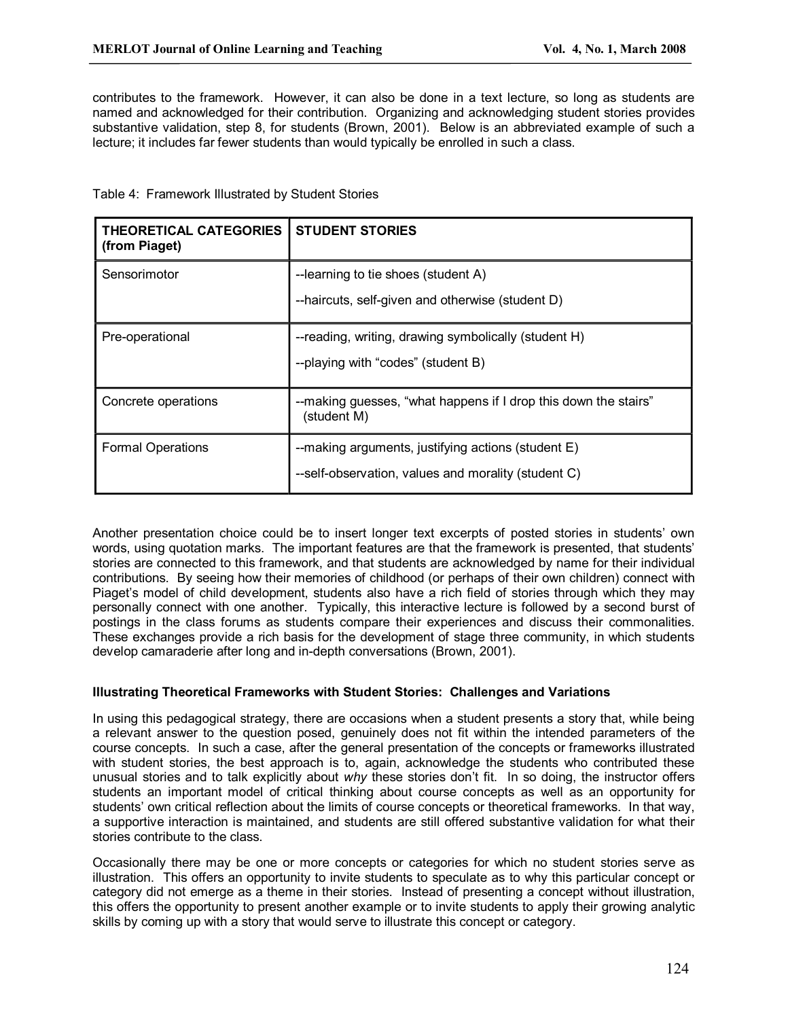contributes to the framework. However, it can also be done in a text lecture, so long as students are named and acknowledged for their contribution. Organizing and acknowledging student stories provides substantive validation, step 8, for students (Brown, 2001). Below is an abbreviated example of such a lecture; it includes far fewer students than would typically be enrolled in such a class.

Table 4: Framework Illustrated by Student Stories

| <b>THEORETICAL CATEGORIES</b><br>(from Piaget) | <b>STUDENT STORIES</b>                                                                                    |
|------------------------------------------------|-----------------------------------------------------------------------------------------------------------|
| Sensorimotor                                   | --learning to tie shoes (student A)<br>--haircuts, self-given and otherwise (student D)                   |
| Pre-operational                                | --reading, writing, drawing symbolically (student H)<br>--playing with "codes" (student B)                |
| Concrete operations                            | --making guesses, "what happens if I drop this down the stairs"<br>(student M)                            |
| <b>Formal Operations</b>                       | --making arguments, justifying actions (student E)<br>--self-observation, values and morality (student C) |

Another presentation choice could be to insert longer text excerpts of posted stories in students' own words, using quotation marks. The important features are that the framework is presented, that students' stories are connected to this framework, and that students are acknowledged by name for their individual contributions. By seeing how their memories of childhood (or perhaps of their own children) connect with Piaget's model of child development, students also have a rich field of stories through which they may personally connect with one another. Typically, this interactive lecture is followed by a second burst of postings in the class forums as students compare their experiences and discuss their commonalities. These exchanges provide a rich basis for the development of stage three community, in which students develop camaraderie after long and in-depth conversations (Brown, 2001).

#### **Illustrating Theoretical Frameworks with Student Stories: Challenges and Variations**

In using this pedagogical strategy, there are occasions when a student presents a story that, while being a relevant answer to the question posed, genuinely does not fit within the intended parameters of the course concepts. In such a case, after the general presentation of the concepts or frameworks illustrated with student stories, the best approach is to, again, acknowledge the students who contributed these unusual stories and to talk explicitly about *why* these stories don't fit. In so doing, the instructor offers students an important model of critical thinking about course concepts as well as an opportunity for students' own critical reflection about the limits of course concepts or theoretical frameworks. In that way, a supportive interaction is maintained, and students are still offered substantive validation for what their stories contribute to the class.

Occasionally there may be one or more concepts or categories for which no student stories serve as illustration. This offers an opportunity to invite students to speculate as to why this particular concept or category did not emerge as a theme in their stories. Instead of presenting a concept without illustration, this offers the opportunity to present another example or to invite students to apply their growing analytic skills by coming up with a story that would serve to illustrate this concept or category.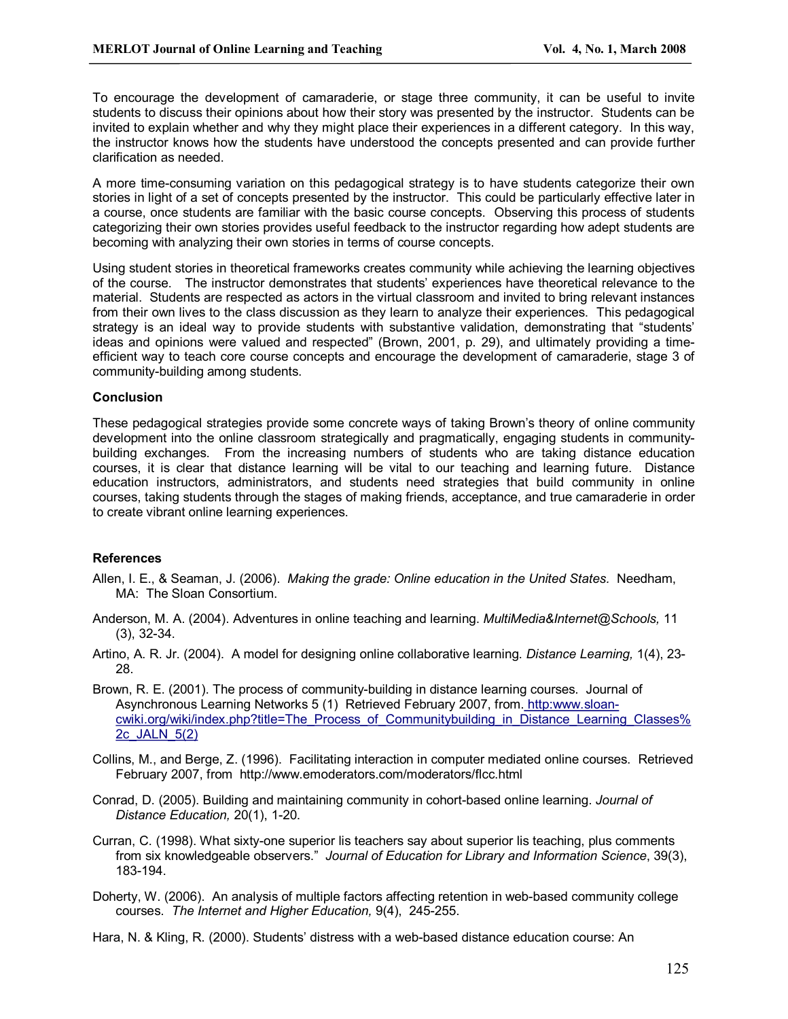To encourage the development of camaraderie, or stage three community, it can be useful to invite students to discuss their opinions about how their story was presented by the instructor. Students can be invited to explain whether and why they might place their experiences in a different category. In this way, the instructor knows how the students have understood the concepts presented and can provide further clarification as needed.

A more time-consuming variation on this pedagogical strategy is to have students categorize their own stories in light of a set of concepts presented by the instructor. This could be particularly effective later in a course, once students are familiar with the basic course concepts. Observing this process of students categorizing their own stories provides useful feedback to the instructor regarding how adept students are becoming with analyzing their own stories in terms of course concepts.

Using student stories in theoretical frameworks creates community while achieving the learning objectives of the course. The instructor demonstrates that students' experiences have theoretical relevance to the material. Students are respected as actors in the virtual classroom and invited to bring relevant instances from their own lives to the class discussion as they learn to analyze their experiences. This pedagogical strategy is an ideal way to provide students with substantive validation, demonstrating that "students' ideas and opinions were valued and respected" (Brown, 2001, p. 29), and ultimately providing a time efficient way to teach core course concepts and encourage the development of camaraderie, stage 3 of community-building among students.

## **Conclusion**

These pedagogical strategies provide some concrete ways of taking Brown's theory of online community development into the online classroom strategically and pragmatically, engaging students in community building exchanges. From the increasing numbers of students who are taking distance education courses, it is clear that distance learning will be vital to our teaching and learning future. Distance education instructors, administrators, and students need strategies that build community in online courses, taking students through the stages of making friends, acceptance, and true camaraderie in order to create vibrant online learning experiences.

# **References**

- Allen, I. E., & Seaman, J. (2006). *Making the grade: Online education in the United States.* Needham, MA: The Sloan Consortium.
- Anderson, M. A. (2004). Adventures in online teaching and learning. *MultiMedia&Internet@Schools,* 11  $(3), 32-34.$
- Artino, A. R. Jr. (2004). A model for designing online collaborative learning. *Distance Learning,* 1(4), 23 28.
- Brown, R. E. (2001). The process of community-building in distance learning courses. Journal of Asynchronous Learning Networks 5 (1) Retrieved February 2007, from. http:www.sloan [cwiki.org/wiki/index.php?title=The\\_Process\\_of\\_Communitybuilding\\_in\\_Distance\\_Learning\\_Classes%](http://www.sloan-cwiki.org/wiki/index.php?title=The_Process_of_Communitybuilding_in_Distance_Learning_Classes,_JALN_5(2)) 2c\_JALN\_5(2)
- Collins, M., and Berge, Z. (1996). Facilitating interaction in computer mediated online courses. Retrieved February 2007, from http://www.emoderators.com/moderators/flcc.html
- Conrad, D. (2005). Building and maintaining community in cohort-based online learning. *Journal of Distance Education, 20(1), 1-20.*
- Curran, C. (1998). What sixty-one superior lis teachers say about superior lis teaching, plus comments from six knowledgeable observers." *Journal of Education for Library and Information Science*, 39(3), 183-194.
- Doherty, W. (2006). An analysis of multiple factors affecting retention in web-based community college courses. The Internet and Higher Education, 9(4), 245-255.

Hara, N. & Kling, R. (2000). Students' distress with a web-based distance education course: An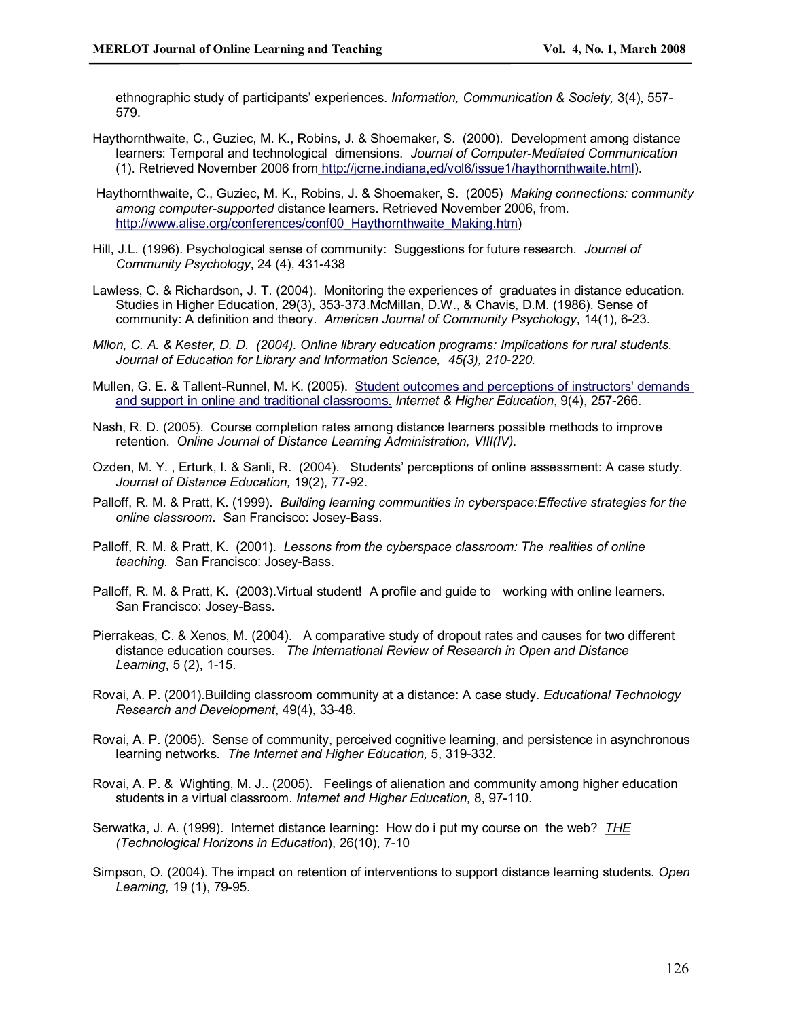ethnographic study of participants' experiences. *Information, Communication & Society,* 3(4), 557 579.

- Haythornthwaite, C., Guziec, M. K., Robins, J. & Shoemaker, S. (2000). Development among distance learners: Temporal and technological dimensions. Journal of Computer-Mediated Communication (1). Retrieved November 2006 fro[m http://jcme.indiana,ed/vol6/issue1/haythornthwaite.html\)](http://jcme.indiana,ed/vol6/issue1/haythornthwaite.html).
- Haythornthwaite, C., Guziec, M. K., Robins, J. & Shoemaker, S. (2005) *Making connections: community*  among computer-supported distance learners. Retrieved November 2006, from. [http://www.alise.org/conferences/conf00\\_Haythornthwaite\\_Making.htm](http://www.alise.org/conferences/conf00_Haythornthwaite_Making.htm))
- Hill, J.L. (1996). Psychological sense of community: Suggestions for future research. *Journal of Community Psychology*, 24 (4), 431-438
- Lawless, C. & Richardson, J. T. (2004). Monitoring the experiences of graduates in distance education. Studies in Higher Education, 29(3), 353-373.McMillan, D.W., & Chavis, D.M. (1986). Sense of community: A definition and theory. *American Journal of Community Psychology*, 14(1), 623.
- *Mllon, C. A. & Kester, D. D. (2004). Online library education programs: Implications for rural students. Journal of Education for Library and Information Science, 45(3), 210-220.*
- Mullen, G. E. & Tallent-Runnel, M. K. (2005). Student outcomes and perceptions of instructors' demands and support in online and traditional classrooms. *Internet & Higher Education*, 9(4), 257266.
- Nash, R. D. (2005). Course completion rates among distance learners possible methods to improve retention. *Online Journal of Distance Learning Administration, VIII(IV).*
- Ozden, M. Y. , Erturk, I. & Sanli, R. (2004). Students' perceptions of online assessment: A case study. *Journal of Distance Education, 19(2), 77-92.*
- Palloff, R. M. & Pratt, K. (1999). *Building learning communities in cyberspace:Effective strategies for the online classroom.* San Francisco: Josey-Bass.
- Palloff, R. M. & Pratt, K. (2001). *Lessons from the cyberspace classroom: The realities of online teaching.* San Francisco: Josey-Bass.
- Palloff, R. M. & Pratt, K. (2003).Virtual student! A profile and guide to working with online learners. San Francisco: Josey-Bass.
- Pierrakeas, C. & Xenos, M. (2004). A comparative study of dropout rates and causes for two different distance education courses. *The International Review of Research in Open and Distance Learning*, 5 (2), 1-15.
- Rovai, A. P. (2001).Building classroom community at a distance: A case study. *Educational Technology Research and Development*, 49(4), 3348.
- Rovai, A. P. (2005). Sense of community, perceived cognitive learning, and persistence in asynchronous learning networks. *The Internet and Higher Education*, 5, 319-332.
- Rovai, A. P. & Wighting, M. J.. (2005). Feelings of alienation and community among higher education students in a virtual classroom. *Internet and Higher Education*, 8, 97-110.
- Serwatka, J. A. (1999). Internet distance learning: How do i put my course on the web? *THE (Technological Horizons in Education), 26(10), 7-10*
- Simpson, O. (2004). The impact on retention of interventions to support distance learning students. *Open Learning,* 19 (1), 79-95.